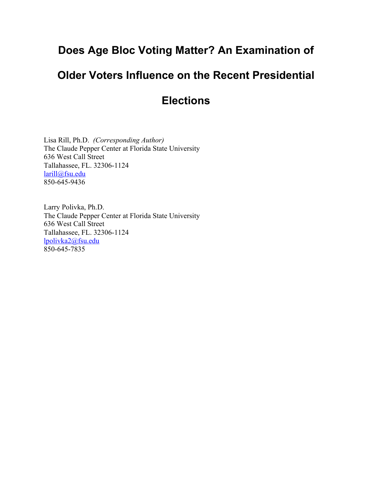# **Does Age Bloc Voting Matter? An Examination of**

# **Older Voters Influence on the Recent Presidential**

# **Elections**

Lisa Rill, Ph.D. *(Corresponding Author)* The Claude Pepper Center at Florida State University 636 West Call Street Tallahassee, FL. 32306-1124 larill@fsu.edu 850-645-9436

Larry Polivka, Ph.D. The Claude Pepper Center at Florida State University 636 West Call Street Tallahassee, FL. 32306-1124 lpolivka2@fsu.edu 850-645-7835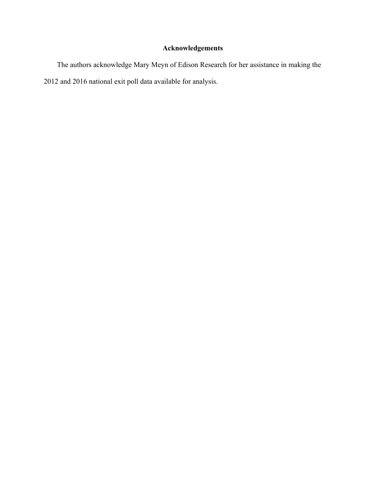# **Acknowledgements**

The authors acknowledge Mary Meyn of Edison Research for her assistance in making the 2012 and 2016 national exit poll data available for analysis.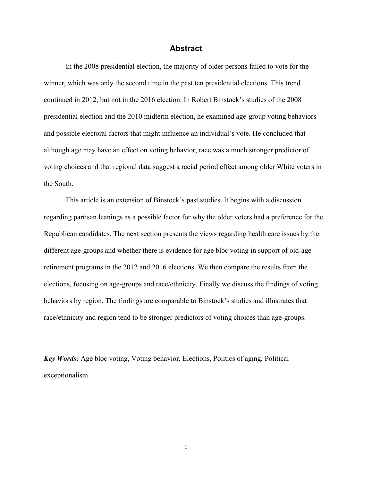## **Abstract**

In the 2008 presidential election, the majority of older persons failed to vote for the winner, which was only the second time in the past ten presidential elections. This trend continued in 2012, but not in the 2016 election. In Robert Binstock's studies of the 2008 presidential election and the 2010 midterm election, he examined age-group voting behaviors and possible electoral factors that might influence an individual's vote. He concluded that although age may have an effect on voting behavior, race was a much stronger predictor of voting choices and that regional data suggest a racial period effect among older White voters in the South.

This article is an extension of Binstock's past studies. It begins with a discussion regarding partisan leanings as a possible factor for why the older voters had a preference for the Republican candidates. The next section presents the views regarding health care issues by the different age-groups and whether there is evidence for age bloc voting in support of old-age retirement programs in the 2012 and 2016 elections. We then compare the results from the elections, focusing on age-groups and race/ethnicity. Finally we discuss the findings of voting behaviors by region. The findings are comparable to Binstock's studies and illustrates that race/ethnicity and region tend to be stronger predictors of voting choices than age-groups.

*Key Words:* Age bloc voting, Voting behavior, Elections, Politics of aging, Political exceptionalism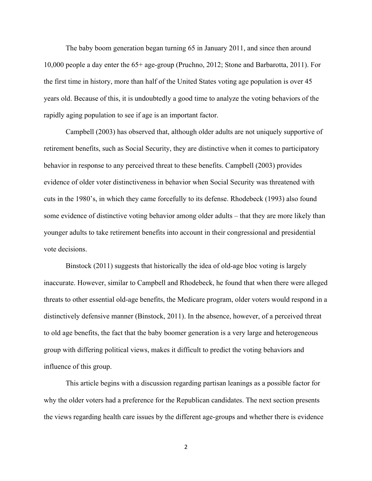The baby boom generation began turning 65 in January 2011, and since then around 10,000 people a day enter the 65+ age-group (Pruchno, 2012; Stone and Barbarotta, 2011). For the first time in history, more than half of the United States voting age population is over 45 years old. Because of this, it is undoubtedly a good time to analyze the voting behaviors of the rapidly aging population to see if age is an important factor.

Campbell (2003) has observed that, although older adults are not uniquely supportive of retirement benefits, such as Social Security, they are distinctive when it comes to participatory behavior in response to any perceived threat to these benefits. Campbell (2003) provides evidence of older voter distinctiveness in behavior when Social Security was threatened with cuts in the 1980's, in which they came forcefully to its defense. Rhodebeck (1993) also found some evidence of distinctive voting behavior among older adults – that they are more likely than younger adults to take retirement benefits into account in their congressional and presidential vote decisions.

Binstock (2011) suggests that historically the idea of old-age bloc voting is largely inaccurate. However, similar to Campbell and Rhodebeck, he found that when there were alleged threats to other essential old-age benefits, the Medicare program, older voters would respond in a distinctively defensive manner (Binstock, 2011). In the absence, however, of a perceived threat to old age benefits, the fact that the baby boomer generation is a very large and heterogeneous group with differing political views, makes it difficult to predict the voting behaviors and influence of this group.

This article begins with a discussion regarding partisan leanings as a possible factor for why the older voters had a preference for the Republican candidates. The next section presents the views regarding health care issues by the different age-groups and whether there is evidence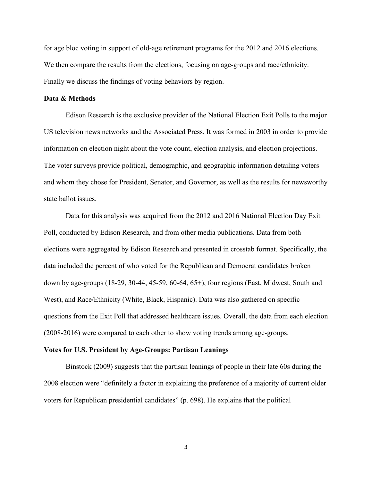for age bloc voting in support of old-age retirement programs for the 2012 and 2016 elections. We then compare the results from the elections, focusing on age-groups and race/ethnicity. Finally we discuss the findings of voting behaviors by region.

### **Data & Methods**

Edison Research is the exclusive provider of the National Election Exit Polls to the major US television news networks and the Associated Press. It was formed in 2003 in order to provide information on election night about the vote count, election analysis, and election projections. The voter surveys provide political, demographic, and geographic information detailing voters and whom they chose for President, Senator, and Governor, as well as the results for newsworthy state ballot issues.

Data for this analysis was acquired from the 2012 and 2016 National Election Day Exit Poll, conducted by Edison Research, and from other media publications. Data from both elections were aggregated by Edison Research and presented in crosstab format. Specifically, the data included the percent of who voted for the Republican and Democrat candidates broken down by age-groups (18-29, 30-44, 45-59, 60-64, 65+), four regions (East, Midwest, South and West), and Race/Ethnicity (White, Black, Hispanic). Data was also gathered on specific questions from the Exit Poll that addressed healthcare issues. Overall, the data from each election (2008-2016) were compared to each other to show voting trends among age-groups.

#### **Votes for U.S. President by Age-Groups: Partisan Leanings**

Binstock (2009) suggests that the partisan leanings of people in their late 60s during the 2008 election were "definitely a factor in explaining the preference of a majority of current older voters for Republican presidential candidates" (p. 698). He explains that the political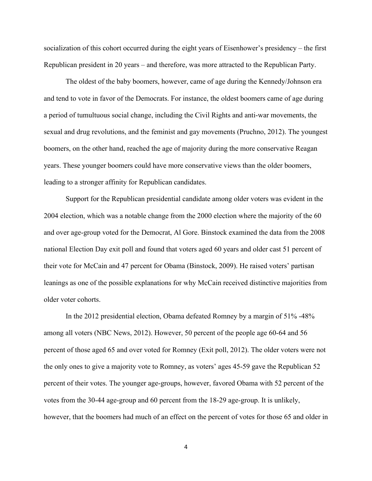socialization of this cohort occurred during the eight years of Eisenhower's presidency – the first Republican president in 20 years – and therefore, was more attracted to the Republican Party.

The oldest of the baby boomers, however, came of age during the Kennedy/Johnson era and tend to vote in favor of the Democrats. For instance, the oldest boomers came of age during a period of tumultuous social change, including the Civil Rights and anti-war movements, the sexual and drug revolutions, and the feminist and gay movements (Pruchno, 2012). The youngest boomers, on the other hand, reached the age of majority during the more conservative Reagan years. These younger boomers could have more conservative views than the older boomers, leading to a stronger affinity for Republican candidates.

Support for the Republican presidential candidate among older voters was evident in the 2004 election, which was a notable change from the 2000 election where the majority of the 60 and over age-group voted for the Democrat, Al Gore. Binstock examined the data from the 2008 national Election Day exit poll and found that voters aged 60 years and older cast 51 percent of their vote for McCain and 47 percent for Obama (Binstock, 2009). He raised voters' partisan leanings as one of the possible explanations for why McCain received distinctive majorities from older voter cohorts.

In the 2012 presidential election, Obama defeated Romney by a margin of 51% -48% among all voters (NBC News, 2012). However, 50 percent of the people age 60-64 and 56 percent of those aged 65 and over voted for Romney (Exit poll, 2012). The older voters were not the only ones to give a majority vote to Romney, as voters' ages 45-59 gave the Republican 52 percent of their votes. The younger age-groups, however, favored Obama with 52 percent of the votes from the 30-44 age-group and 60 percent from the 18-29 age-group. It is unlikely, however, that the boomers had much of an effect on the percent of votes for those 65 and older in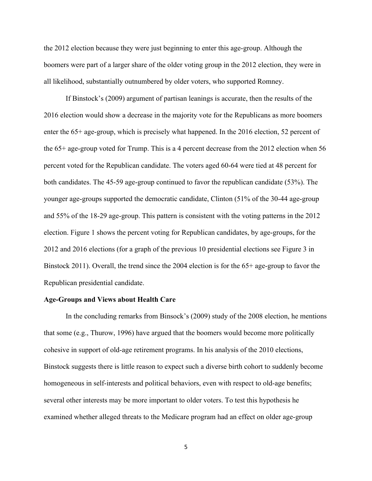the 2012 election because they were just beginning to enter this age-group. Although the boomers were part of a larger share of the older voting group in the 2012 election, they were in all likelihood, substantially outnumbered by older voters, who supported Romney.

If Binstock's (2009) argument of partisan leanings is accurate, then the results of the 2016 election would show a decrease in the majority vote for the Republicans as more boomers enter the 65+ age-group, which is precisely what happened. In the 2016 election, 52 percent of the 65+ age-group voted for Trump. This is a 4 percent decrease from the 2012 election when 56 percent voted for the Republican candidate. The voters aged 60-64 were tied at 48 percent for both candidates. The 45-59 age-group continued to favor the republican candidate (53%). The younger age-groups supported the democratic candidate, Clinton (51% of the 30-44 age-group and 55% of the 18-29 age-group. This pattern is consistent with the voting patterns in the 2012 election. Figure 1 shows the percent voting for Republican candidates, by age-groups, for the 2012 and 2016 elections (for a graph of the previous 10 presidential elections see Figure 3 in Binstock 2011). Overall, the trend since the 2004 election is for the 65+ age-group to favor the Republican presidential candidate.

### **Age-Groups and Views about Health Care**

In the concluding remarks from Binsock's (2009) study of the 2008 election, he mentions that some (e.g., Thurow, 1996) have argued that the boomers would become more politically cohesive in support of old-age retirement programs. In his analysis of the 2010 elections, Binstock suggests there is little reason to expect such a diverse birth cohort to suddenly become homogeneous in self-interests and political behaviors, even with respect to old-age benefits; several other interests may be more important to older voters. To test this hypothesis he examined whether alleged threats to the Medicare program had an effect on older age-group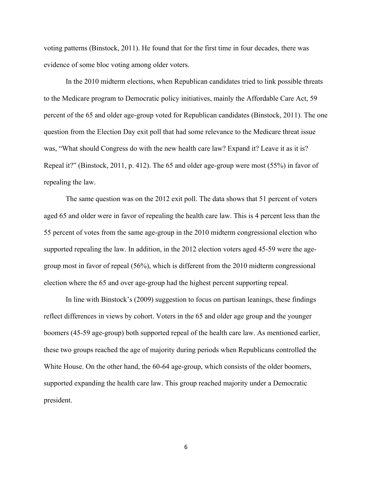voting patterns (Binstock, 2011). He found that for the first time in four decades, there was evidence of some bloc voting among older voters.

In the 2010 midterm elections, when Republican candidates tried to link possible threats to the Medicare program to Democratic policy initiatives, mainly the Affordable Care Act, 59 percent of the 65 and older age-group voted for Republican candidates (Binstock, 2011). The one question from the Election Day exit poll that had some relevance to the Medicare threat issue was, "What should Congress do with the new health care law? Expand it? Leave it as it is? Repeal it?" (Binstock, 2011, p. 412). The 65 and older age-group were most (55%) in favor of repealing the law.

The same question was on the 2012 exit poll. The data shows that 51 percent of voters aged 65 and older were in favor of repealing the health care law. This is 4 percent less than the 55 percent of votes from the same age-group in the 2010 midterm congressional election who supported repealing the law. In addition, in the 2012 election voters aged 45-59 were the agegroup most in favor of repeal (56%), which is different from the 2010 midterm congressional election where the 65 and over age-group had the highest percent supporting repeal.

In line with Binstock's (2009) suggestion to focus on partisan leanings, these findings reflect differences in views by cohort. Voters in the 65 and older age group and the younger boomers (45-59 age-group) both supported repeal of the health care law. As mentioned earlier, these two groups reached the age of majority during periods when Republicans controlled the White House. On the other hand, the 60-64 age-group, which consists of the older boomers, supported expanding the health care law. This group reached majority under a Democratic president.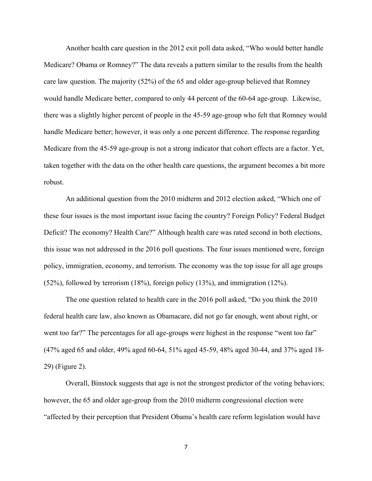Another health care question in the 2012 exit poll data asked, "Who would better handle Medicare? Obama or Romney?" The data reveals a pattern similar to the results from the health care law question. The majority (52%) of the 65 and older age-group believed that Romney would handle Medicare better, compared to only 44 percent of the 60-64 age-group. Likewise, there was a slightly higher percent of people in the 45-59 age-group who felt that Romney would handle Medicare better; however, it was only a one percent difference. The response regarding Medicare from the 45-59 age-group is not a strong indicator that cohort effects are a factor. Yet, taken together with the data on the other health care questions, the argument becomes a bit more robust.

An additional question from the 2010 midterm and 2012 election asked, "Which one of these four issues is the most important issue facing the country? Foreign Policy? Federal Budget Deficit? The economy? Health Care?" Although health care was rated second in both elections, this issue was not addressed in the 2016 poll questions. The four issues mentioned were, foreign policy, immigration, economy, and terrorism. The economy was the top issue for all age groups (52%), followed by terrorism (18%), foreign policy (13%), and immigration (12%).

The one question related to health care in the 2016 poll asked, "Do you think the 2010 federal health care law, also known as Obamacare, did not go far enough, went about right, or went too far?" The percentages for all age-groups were highest in the response "went too far" (47% aged 65 and older, 49% aged 60-64, 51% aged 45-59, 48% aged 30-44, and 37% aged 18- 29) (Figure 2).

Overall, Binstock suggests that age is not the strongest predictor of the voting behaviors; however, the 65 and older age-group from the 2010 midterm congressional election were "affected by their perception that President Obama's health care reform legislation would have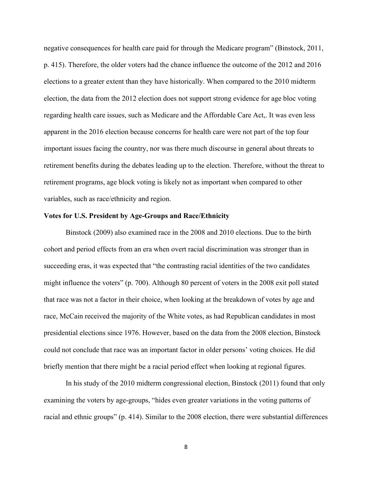negative consequences for health care paid for through the Medicare program" (Binstock, 2011, p. 415). Therefore, the older voters had the chance influence the outcome of the 2012 and 2016 elections to a greater extent than they have historically. When compared to the 2010 midterm election, the data from the 2012 election does not support strong evidence for age bloc voting regarding health care issues, such as Medicare and the Affordable Care Act,. It was even less apparent in the 2016 election because concerns for health care were not part of the top four important issues facing the country, nor was there much discourse in general about threats to retirement benefits during the debates leading up to the election. Therefore, without the threat to retirement programs, age block voting is likely not as important when compared to other variables, such as race/ethnicity and region.

#### **Votes for U.S. President by Age-Groups and Race/Ethnicity**

Binstock (2009) also examined race in the 2008 and 2010 elections. Due to the birth cohort and period effects from an era when overt racial discrimination was stronger than in succeeding eras, it was expected that "the contrasting racial identities of the two candidates might influence the voters" (p. 700). Although 80 percent of voters in the 2008 exit poll stated that race was not a factor in their choice, when looking at the breakdown of votes by age and race, McCain received the majority of the White votes, as had Republican candidates in most presidential elections since 1976. However, based on the data from the 2008 election, Binstock could not conclude that race was an important factor in older persons' voting choices. He did briefly mention that there might be a racial period effect when looking at regional figures.

In his study of the 2010 midterm congressional election, Binstock (2011) found that only examining the voters by age-groups, "hides even greater variations in the voting patterns of racial and ethnic groups" (p. 414). Similar to the 2008 election, there were substantial differences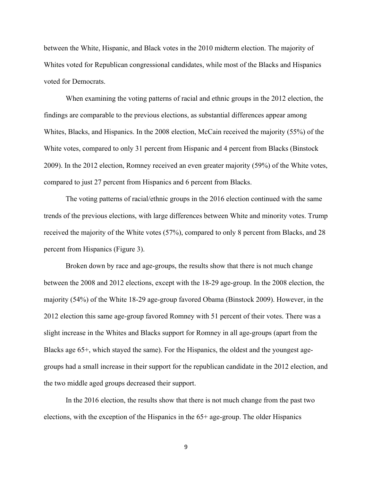between the White, Hispanic, and Black votes in the 2010 midterm election. The majority of Whites voted for Republican congressional candidates, while most of the Blacks and Hispanics voted for Democrats.

When examining the voting patterns of racial and ethnic groups in the 2012 election, the findings are comparable to the previous elections, as substantial differences appear among Whites, Blacks, and Hispanics. In the 2008 election, McCain received the majority (55%) of the White votes, compared to only 31 percent from Hispanic and 4 percent from Blacks (Binstock 2009). In the 2012 election, Romney received an even greater majority (59%) of the White votes, compared to just 27 percent from Hispanics and 6 percent from Blacks.

The voting patterns of racial/ethnic groups in the 2016 election continued with the same trends of the previous elections, with large differences between White and minority votes. Trump received the majority of the White votes (57%), compared to only 8 percent from Blacks, and 28 percent from Hispanics (Figure 3).

Broken down by race and age-groups, the results show that there is not much change between the 2008 and 2012 elections, except with the 18-29 age-group. In the 2008 election, the majority (54%) of the White 18-29 age-group favored Obama (Binstock 2009). However, in the 2012 election this same age-group favored Romney with 51 percent of their votes. There was a slight increase in the Whites and Blacks support for Romney in all age-groups (apart from the Blacks age 65+, which stayed the same). For the Hispanics, the oldest and the youngest agegroups had a small increase in their support for the republican candidate in the 2012 election, and the two middle aged groups decreased their support.

In the 2016 election, the results show that there is not much change from the past two elections, with the exception of the Hispanics in the 65+ age-group. The older Hispanics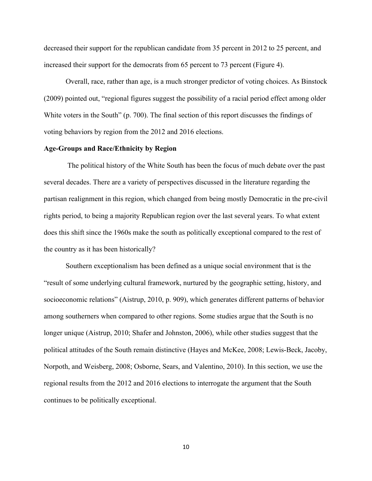decreased their support for the republican candidate from 35 percent in 2012 to 25 percent, and increased their support for the democrats from 65 percent to 73 percent (Figure 4).

Overall, race, rather than age, is a much stronger predictor of voting choices. As Binstock (2009) pointed out, "regional figures suggest the possibility of a racial period effect among older White voters in the South" (p. 700). The final section of this report discusses the findings of voting behaviors by region from the 2012 and 2016 elections.

# **Age-Groups and Race/Ethnicity by Region**

 The political history of the White South has been the focus of much debate over the past several decades. There are a variety of perspectives discussed in the literature regarding the partisan realignment in this region, which changed from being mostly Democratic in the pre-civil rights period, to being a majority Republican region over the last several years. To what extent does this shift since the 1960s make the south as politically exceptional compared to the rest of the country as it has been historically?

Southern exceptionalism has been defined as a unique social environment that is the "result of some underlying cultural framework, nurtured by the geographic setting, history, and socioeconomic relations" (Aistrup, 2010, p. 909), which generates different patterns of behavior among southerners when compared to other regions. Some studies argue that the South is no longer unique (Aistrup, 2010; Shafer and Johnston, 2006), while other studies suggest that the political attitudes of the South remain distinctive (Hayes and McKee, 2008; Lewis-Beck, Jacoby, Norpoth, and Weisberg, 2008; Osborne, Sears, and Valentino, 2010). In this section, we use the regional results from the 2012 and 2016 elections to interrogate the argument that the South continues to be politically exceptional.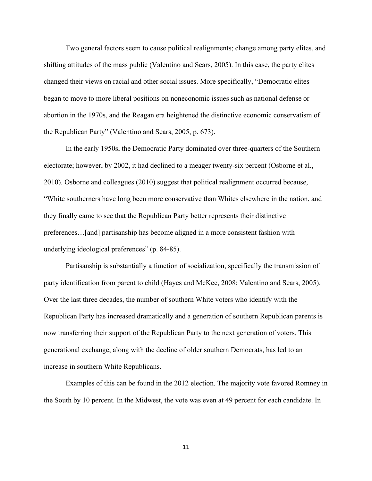Two general factors seem to cause political realignments; change among party elites, and shifting attitudes of the mass public (Valentino and Sears, 2005). In this case, the party elites changed their views on racial and other social issues. More specifically, "Democratic elites began to move to more liberal positions on noneconomic issues such as national defense or abortion in the 1970s, and the Reagan era heightened the distinctive economic conservatism of the Republican Party" (Valentino and Sears, 2005, p. 673).

In the early 1950s, the Democratic Party dominated over three-quarters of the Southern electorate; however, by 2002, it had declined to a meager twenty-six percent (Osborne et al., 2010). Osborne and colleagues (2010) suggest that political realignment occurred because, "White southerners have long been more conservative than Whites elsewhere in the nation, and they finally came to see that the Republican Party better represents their distinctive preferences…[and] partisanship has become aligned in a more consistent fashion with underlying ideological preferences" (p. 84-85).

Partisanship is substantially a function of socialization, specifically the transmission of party identification from parent to child (Hayes and McKee, 2008; Valentino and Sears, 2005). Over the last three decades, the number of southern White voters who identify with the Republican Party has increased dramatically and a generation of southern Republican parents is now transferring their support of the Republican Party to the next generation of voters. This generational exchange, along with the decline of older southern Democrats, has led to an increase in southern White Republicans.

Examples of this can be found in the 2012 election. The majority vote favored Romney in the South by 10 percent. In the Midwest, the vote was even at 49 percent for each candidate. In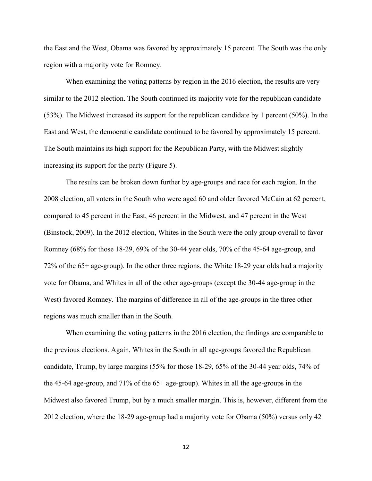the East and the West, Obama was favored by approximately 15 percent. The South was the only region with a majority vote for Romney.

When examining the voting patterns by region in the 2016 election, the results are very similar to the 2012 election. The South continued its majority vote for the republican candidate (53%). The Midwest increased its support for the republican candidate by 1 percent (50%). In the East and West, the democratic candidate continued to be favored by approximately 15 percent. The South maintains its high support for the Republican Party, with the Midwest slightly increasing its support for the party (Figure 5).

The results can be broken down further by age-groups and race for each region. In the 2008 election, all voters in the South who were aged 60 and older favored McCain at 62 percent, compared to 45 percent in the East, 46 percent in the Midwest, and 47 percent in the West (Binstock, 2009). In the 2012 election, Whites in the South were the only group overall to favor Romney (68% for those 18-29, 69% of the 30-44 year olds, 70% of the 45-64 age-group, and 72% of the 65+ age-group). In the other three regions, the White 18-29 year olds had a majority vote for Obama, and Whites in all of the other age-groups (except the 30-44 age-group in the West) favored Romney. The margins of difference in all of the age-groups in the three other regions was much smaller than in the South.

When examining the voting patterns in the 2016 election, the findings are comparable to the previous elections. Again, Whites in the South in all age-groups favored the Republican candidate, Trump, by large margins (55% for those 18-29, 65% of the 30-44 year olds, 74% of the 45-64 age-group, and 71% of the 65+ age-group). Whites in all the age-groups in the Midwest also favored Trump, but by a much smaller margin. This is, however, different from the 2012 election, where the 18-29 age-group had a majority vote for Obama (50%) versus only 42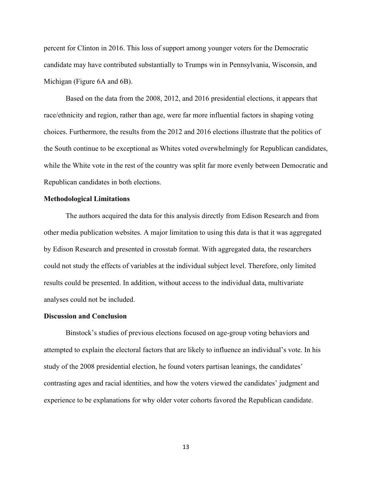percent for Clinton in 2016. This loss of support among younger voters for the Democratic candidate may have contributed substantially to Trumps win in Pennsylvania, Wisconsin, and Michigan (Figure 6A and 6B).

Based on the data from the 2008, 2012, and 2016 presidential elections, it appears that race/ethnicity and region, rather than age, were far more influential factors in shaping voting choices. Furthermore, the results from the 2012 and 2016 elections illustrate that the politics of the South continue to be exceptional as Whites voted overwhelmingly for Republican candidates, while the White vote in the rest of the country was split far more evenly between Democratic and Republican candidates in both elections.

#### **Methodological Limitations**

The authors acquired the data for this analysis directly from Edison Research and from other media publication websites. A major limitation to using this data is that it was aggregated by Edison Research and presented in crosstab format. With aggregated data, the researchers could not study the effects of variables at the individual subject level. Therefore, only limited results could be presented. In addition, without access to the individual data, multivariate analyses could not be included.

### **Discussion and Conclusion**

Binstock's studies of previous elections focused on age-group voting behaviors and attempted to explain the electoral factors that are likely to influence an individual's vote. In his study of the 2008 presidential election, he found voters partisan leanings, the candidates' contrasting ages and racial identities, and how the voters viewed the candidates' judgment and experience to be explanations for why older voter cohorts favored the Republican candidate.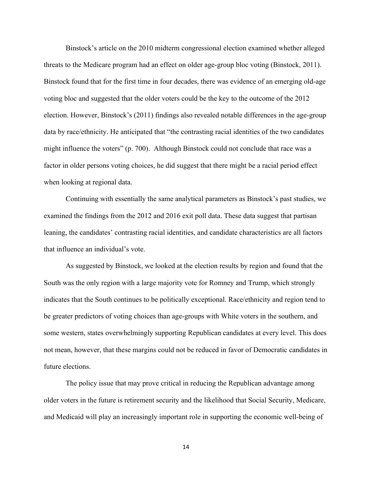Binstock's article on the 2010 midterm congressional election examined whether alleged threats to the Medicare program had an effect on older age-group bloc voting (Binstock, 2011). Binstock found that for the first time in four decades, there was evidence of an emerging old-age voting bloc and suggested that the older voters could be the key to the outcome of the 2012 election. However, Binstock's (2011) findings also revealed notable differences in the age-group data by race/ethnicity. He anticipated that "the contrasting racial identities of the two candidates might influence the voters" (p. 700). Although Binstock could not conclude that race was a factor in older persons voting choices, he did suggest that there might be a racial period effect when looking at regional data.

Continuing with essentially the same analytical parameters as Binstock's past studies, we examined the findings from the 2012 and 2016 exit poll data. These data suggest that partisan leaning, the candidates' contrasting racial identities, and candidate characteristics are all factors that influence an individual's vote.

As suggested by Binstock, we looked at the election results by region and found that the South was the only region with a large majority vote for Romney and Trump, which strongly indicates that the South continues to be politically exceptional. Race/ethnicity and region tend to be greater predictors of voting choices than age-groups with White voters in the southern, and some western, states overwhelmingly supporting Republican candidates at every level. This does not mean, however, that these margins could not be reduced in favor of Democratic candidates in future elections.

The policy issue that may prove critical in reducing the Republican advantage among older voters in the future is retirement security and the likelihood that Social Security, Medicare, and Medicaid will play an increasingly important role in supporting the economic well-being of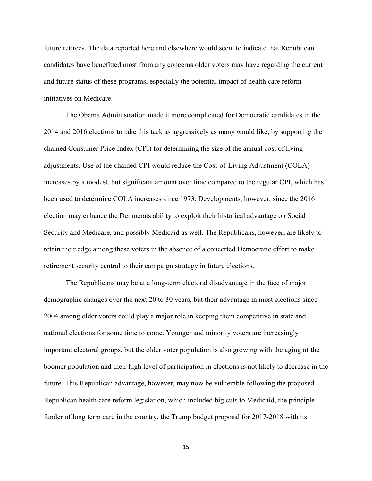future retirees. The data reported here and elsewhere would seem to indicate that Republican candidates have benefitted most from any concerns older voters may have regarding the current and future status of these programs, especially the potential impact of health care reform initiatives on Medicare.

The Obama Administration made it more complicated for Democratic candidates in the 2014 and 2016 elections to take this tack as aggressively as many would like, by supporting the chained Consumer Price Index (CPI) for determining the size of the annual cost of living adjustments. Use of the chained CPI would reduce the Cost-of-Living Adjustment (COLA) increases by a modest, but significant amount over time compared to the regular CPI, which has been used to determine COLA increases since 1973. Developments, however, since the 2016 election may enhance the Democrats ability to exploit their historical advantage on Social Security and Medicare, and possibly Medicaid as well. The Republicans, however, are likely to retain their edge among these voters in the absence of a concerted Democratic effort to make retirement security central to their campaign strategy in future elections.

The Republicans may be at a long-term electoral disadvantage in the face of major demographic changes over the next 20 to 30 years, but their advantage in most elections since 2004 among older voters could play a major role in keeping them competitive in state and national elections for some time to come. Younger and minority voters are increasingly important electoral groups, but the older voter population is also growing with the aging of the boomer population and their high level of participation in elections is not likely to decrease in the future. This Republican advantage, however, may now be vulnerable following the proposed Republican health care reform legislation, which included big cuts to Medicaid, the principle funder of long term care in the country, the Trump budget proposal for 2017-2018 with its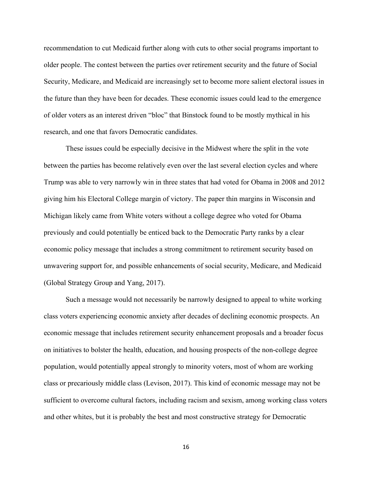recommendation to cut Medicaid further along with cuts to other social programs important to older people. The contest between the parties over retirement security and the future of Social Security, Medicare, and Medicaid are increasingly set to become more salient electoral issues in the future than they have been for decades. These economic issues could lead to the emergence of older voters as an interest driven "bloc" that Binstock found to be mostly mythical in his research, and one that favors Democratic candidates.

These issues could be especially decisive in the Midwest where the split in the vote between the parties has become relatively even over the last several election cycles and where Trump was able to very narrowly win in three states that had voted for Obama in 2008 and 2012 giving him his Electoral College margin of victory. The paper thin margins in Wisconsin and Michigan likely came from White voters without a college degree who voted for Obama previously and could potentially be enticed back to the Democratic Party ranks by a clear economic policy message that includes a strong commitment to retirement security based on unwavering support for, and possible enhancements of social security, Medicare, and Medicaid (Global Strategy Group and Yang, 2017).

Such a message would not necessarily be narrowly designed to appeal to white working class voters experiencing economic anxiety after decades of declining economic prospects. An economic message that includes retirement security enhancement proposals and a broader focus on initiatives to bolster the health, education, and housing prospects of the non-college degree population, would potentially appeal strongly to minority voters, most of whom are working class or precariously middle class (Levison, 2017). This kind of economic message may not be sufficient to overcome cultural factors, including racism and sexism, among working class voters and other whites, but it is probably the best and most constructive strategy for Democratic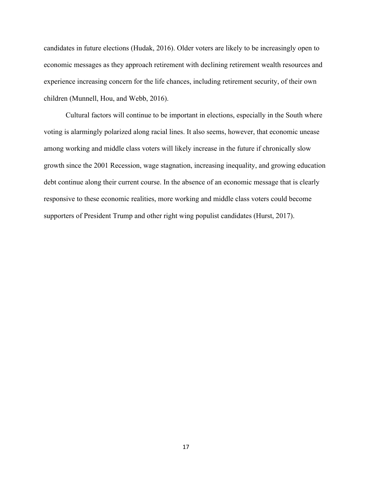candidates in future elections (Hudak, 2016). Older voters are likely to be increasingly open to economic messages as they approach retirement with declining retirement wealth resources and experience increasing concern for the life chances, including retirement security, of their own children (Munnell, Hou, and Webb, 2016).

Cultural factors will continue to be important in elections, especially in the South where voting is alarmingly polarized along racial lines. It also seems, however, that economic unease among working and middle class voters will likely increase in the future if chronically slow growth since the 2001 Recession, wage stagnation, increasing inequality, and growing education debt continue along their current course. In the absence of an economic message that is clearly responsive to these economic realities, more working and middle class voters could become supporters of President Trump and other right wing populist candidates (Hurst, 2017).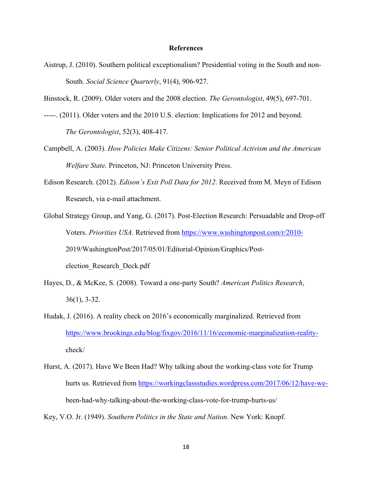### **References**

Aistrup, J. (2010). Southern political exceptionalism? Presidential voting in the South and non-South. *Social Science Quarterly*, 91(4), 906-927.

Binstock, R. (2009). Older voters and the 2008 election. *The Gerontologist*, 49(5), 697-701.

- -----. (2011). Older voters and the 2010 U.S. election: Implications for 2012 and beyond. *The Gerontologist*, 52(3), 408-417.
- Campbell, A. (2003). *How Policies Make Citizens: Senior Political Activism and the American Welfare State.* Princeton, NJ: Princeton University Press.
- Edison Research. (2012). *Edison's Exit Poll Data for 2012*. Received from M. Meyn of Edison Research, via e-mail attachment.
- Global Strategy Group, and Yang, G. (2017). Post-Election Research: Persuadable and Drop-off Voters. *Priorities USA*. Retrieved from https://www.washingtonpost.com/r/2010- 2019/WashingtonPost/2017/05/01/Editorial-Opinion/Graphics/Postelection\_Research\_Deck.pdf
- Hayes, D., & McKee, S. (2008). Toward a one-party South? *American Politics Research*, 36(1), 3-32.
- Hudak, J. (2016). A reality check on 2016's economically marginalized. Retrieved from https://www.brookings.edu/blog/fixgov/2016/11/16/economic-marginalization-realitycheck/
- Hurst, A. (2017). Have We Been Had? Why talking about the working-class vote for Trump hurts us. Retrieved from https://workingclassstudies.wordpress.com/2017/06/12/have-webeen-had-why-talking-about-the-working-class-vote-for-trump-hurts-us/

Key, V.O. Jr. (1949). *Southern Politics in the State and Nation*. New York: Knopf.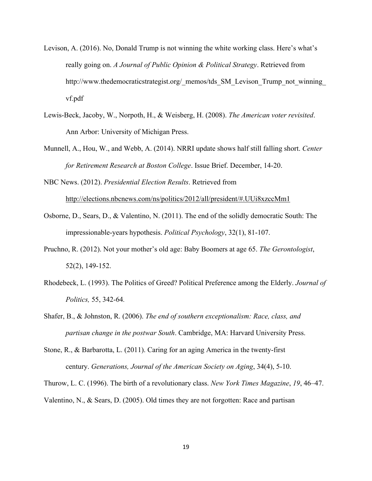- Levison, A. (2016). No, Donald Trump is not winning the white working class. Here's what's really going on. *A Journal of Public Opinion & Political Strategy*. Retrieved from http://www.thedemocraticstrategist.org/\_memos/tds\_SM\_Levison\_Trump\_not\_winning vf.pdf
- Lewis-Beck, Jacoby, W., Norpoth, H., & Weisberg, H. (2008). *The American voter revisited*. Ann Arbor: University of Michigan Press.
- Munnell, A., Hou, W., and Webb, A. (2014). NRRI update shows half still falling short. *Center for Retirement Research at Boston College*. Issue Brief. December, 14-20.
- NBC News. (2012). *Presidential Election Results*. Retrieved from http://elections.nbcnews.com/ns/politics/2012/all/president/#.UUi8xzccMm1
- Osborne, D., Sears, D., & Valentino, N. (2011). The end of the solidly democratic South: The impressionable-years hypothesis. *Political Psychology*, 32(1), 81-107.
- Pruchno, R. (2012). Not your mother's old age: Baby Boomers at age 65. *The Gerontologist*, 52(2), 149-152.
- Rhodebeck, L. (1993). The Politics of Greed? Political Preference among the Elderly. *Journal of Politics,* 55, 342-64*.*
- Shafer, B., & Johnston, R. (2006). *The end of southern exceptionalism: Race, class, and partisan change in the postwar South*. Cambridge, MA: Harvard University Press.
- Stone, R., & Barbarotta, L. (2011). Caring for an aging America in the twenty-first century. *Generations, Journal of the American Society on Aging*, 34(4), 5-10.

Thurow, L. C. (1996). The birth of a revolutionary class. *New York Times Magazine*, *19*, 46–47.

Valentino, N., & Sears, D. (2005). Old times they are not forgotten: Race and partisan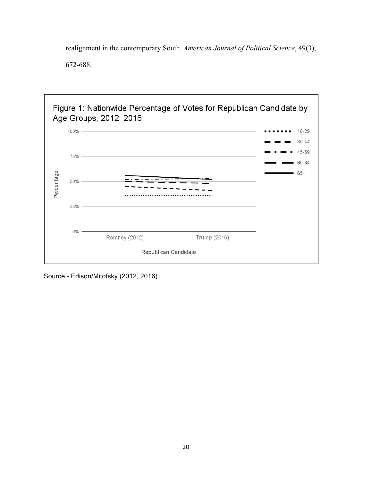realignment in the contemporary South. *American Journal of Political Science*, 49(3),

672-688.



Source - Edison/Mitofsky (2012, 2016)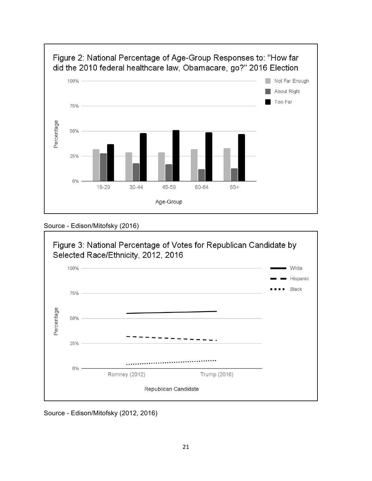

Source - Edison/Mitofsky (2016)



Source - Edison/Mitofsky (2012, 2016)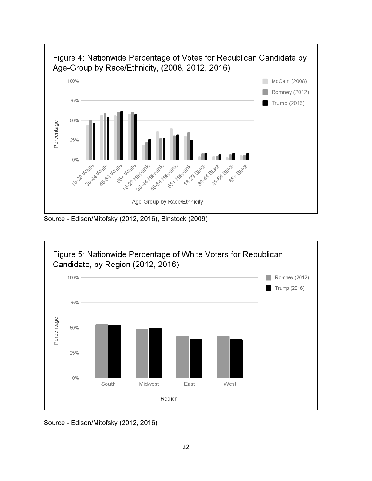

Source - Edison/Mitofsky (2012, 2016), Binstock (2009)



Source - Edison/Mitofsky (2012, 2016)